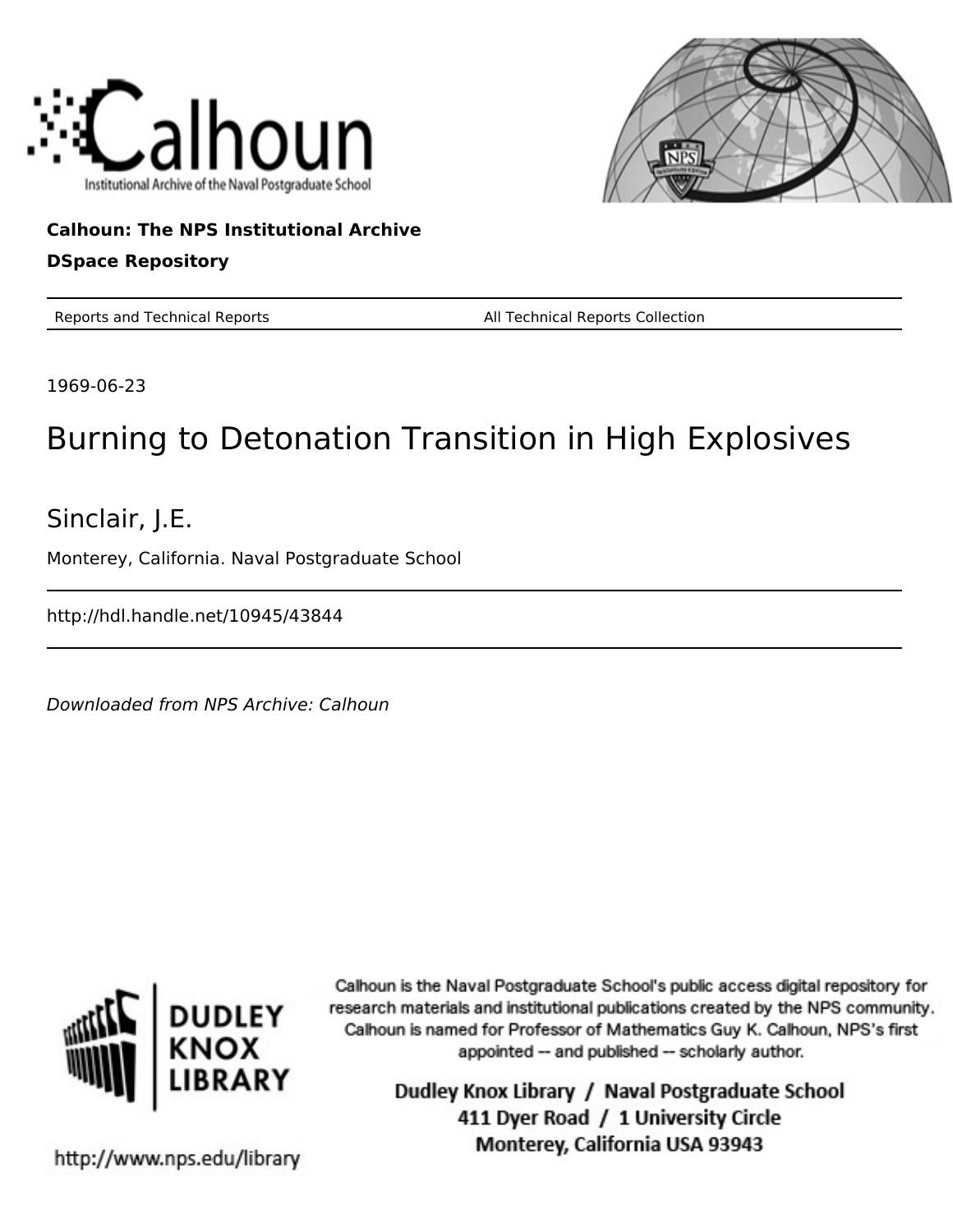



## **Calhoun: The NPS Institutional Archive DSpace Repository**

Reports and Technical Reports All Technical Reports Collection

1969-06-23

# Burning to Detonation Transition in High Explosives

Sinclair, J.E.

Monterey, California. Naval Postgraduate School

http://hdl.handle.net/10945/43844

Downloaded from NPS Archive: Calhoun



Calhoun is the Naval Postgraduate School's public access digital repository for research materials and institutional publications created by the NPS community. Calhoun is named for Professor of Mathematics Guy K. Calhoun, NPS's first appointed -- and published -- scholarly author.

> Dudley Knox Library / Naval Postgraduate School 411 Dyer Road / 1 University Circle Monterey, California USA 93943

http://www.nps.edu/library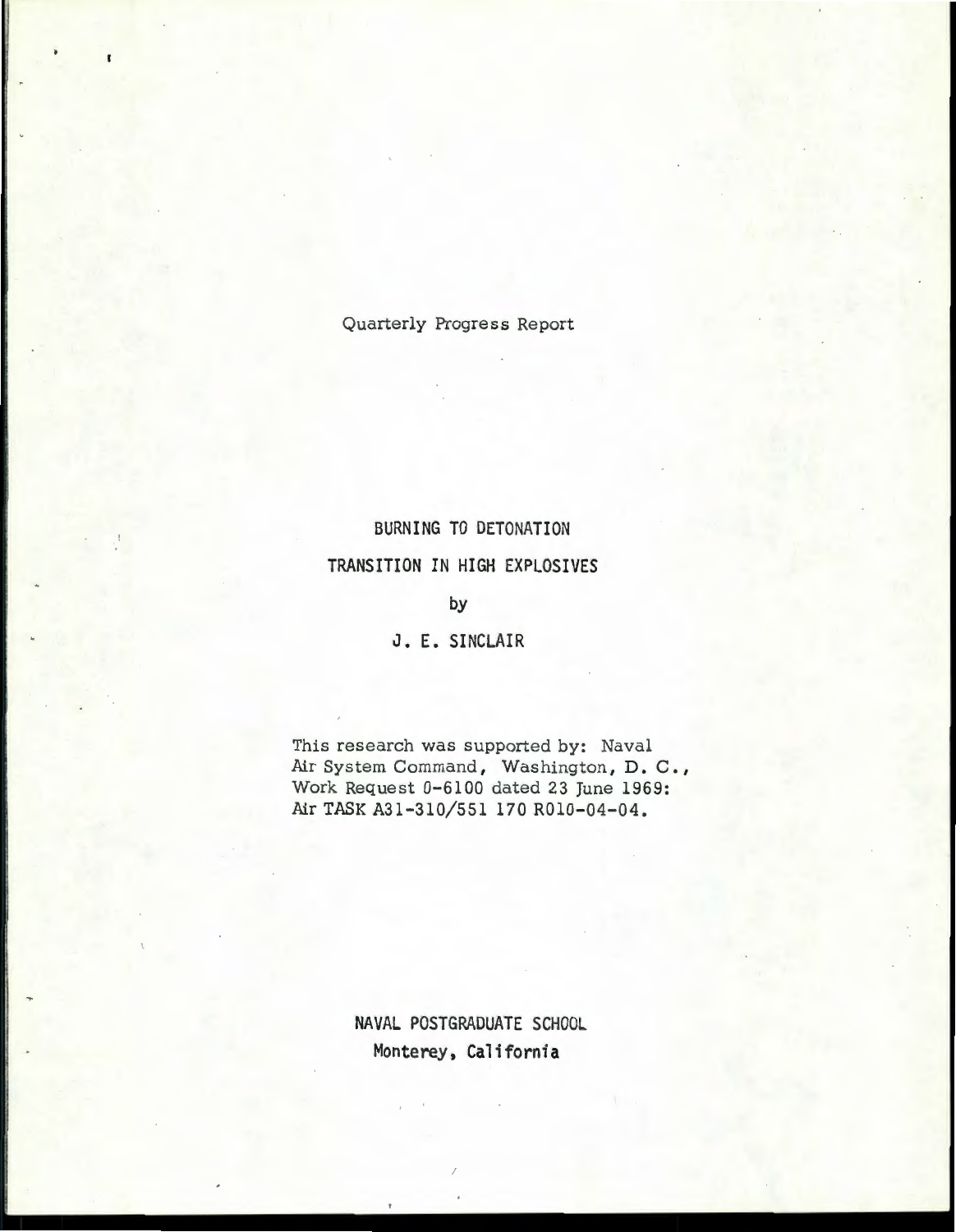Quarterly Progress Report

# BURNING TO DETONATION TRANSITION IN HIGH EXPLOSIVES

#### by

J. E. SINCLAIR

This research was supported by: Naval Air System Command, Washington, D. C., Work Request 0-6100 dated 23 June 1969: Air TASK A31-310/551 170 R010-04-04.

> NAVAL POSTGRADUATE SCHOOL Monterey, California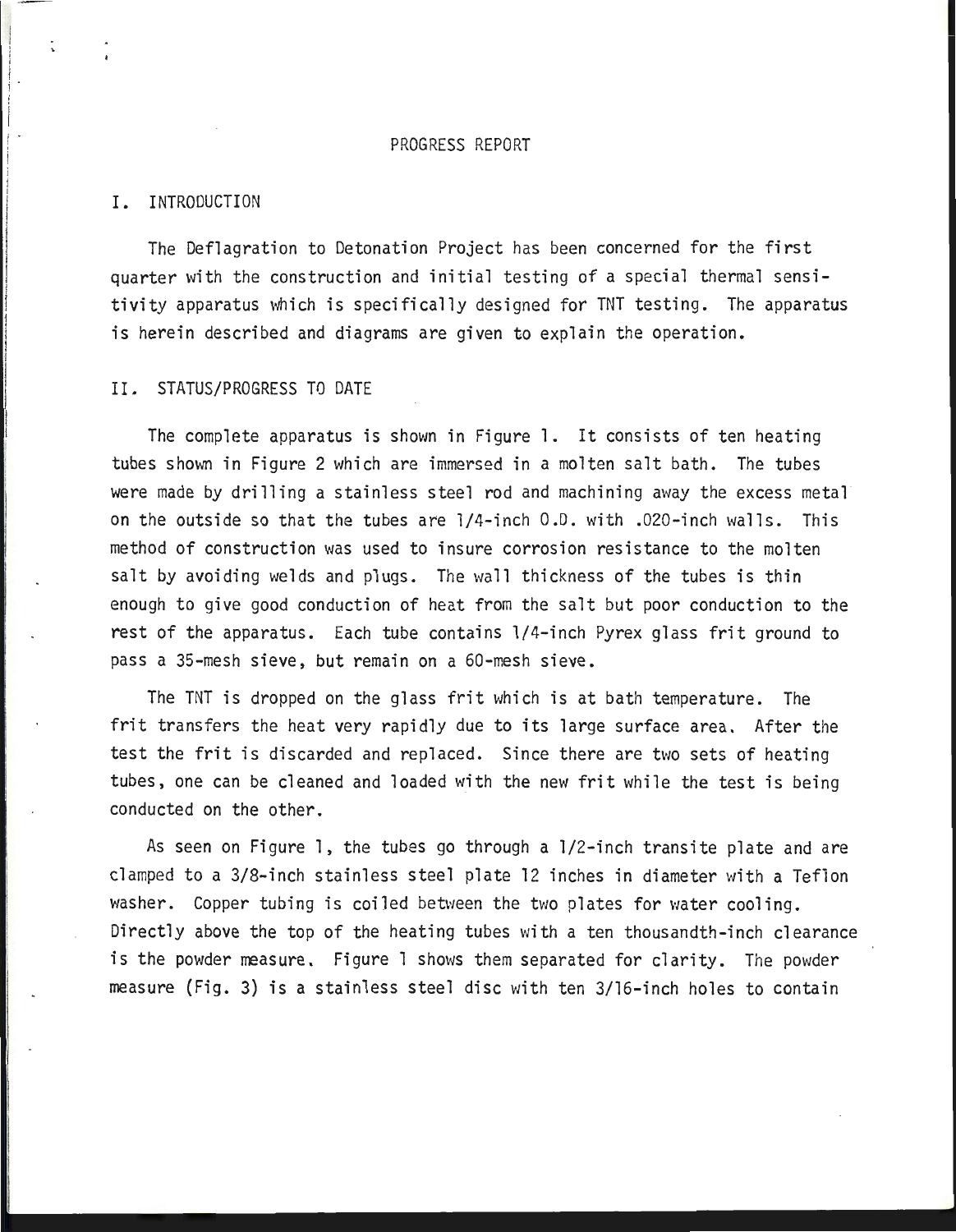#### PROGRESS REPORT

#### I. INTRODUCTION

The Deflagration to Detonation Project has been concerned for the first quarter with the construction and initial testing of a special thermal sensitivity apparatus which is specifically designed for TNT testing. The apparatus is herein described and diagrams are given to explain the operation.

#### II. STATUS/PROGRESS TO DATE

The complete apparatus is shown in Figure 1. It consists of ten heating tubes shown in Figure 2 which are immersed in a molten salt bath. The tubes were made by drilling a stainless steel rod and machining away the excess metal on the outside so that the tubes are l /4-inch O.D. with .020-inch walls. This method of construction was used to insure corrosion resistance to the molten salt by avoiding welds and plugs. The wall thickness of the tubes is thin enough to give good conduction of heat from the salt but poor conduction to the rest of the apparatus. Each tube contains 1/4-inch Pyrex glass frit ground to pass a 35-mesh sieve, but remain on a 60-mesh sieve.

The TNT is dropped on the glass frit which is at bath temperature. The frit transfers the heat very rapidly due to its large surface area. After the test the frit is discarded and replaced. Since there are two sets of heating tubes, one can be cleaned and loaded with the new frit while the test is being conducted on the other.

As seen on Figure l, the tubes go through a 1/2-inch transite plate and are clamped to a 3/8-inch stainless steel plate 12 inches in diameter with a Teflon washer. Copper tubing is coiled between the two plates for water cooling. Directly above the top of the heating tubes with a ten thousandth-inch clearance is the powder measure. Figure 1 shows them separated for clarity. The powder measure (Fig. 3) is a stainless steel disc with ten 3/16-inch holes to contain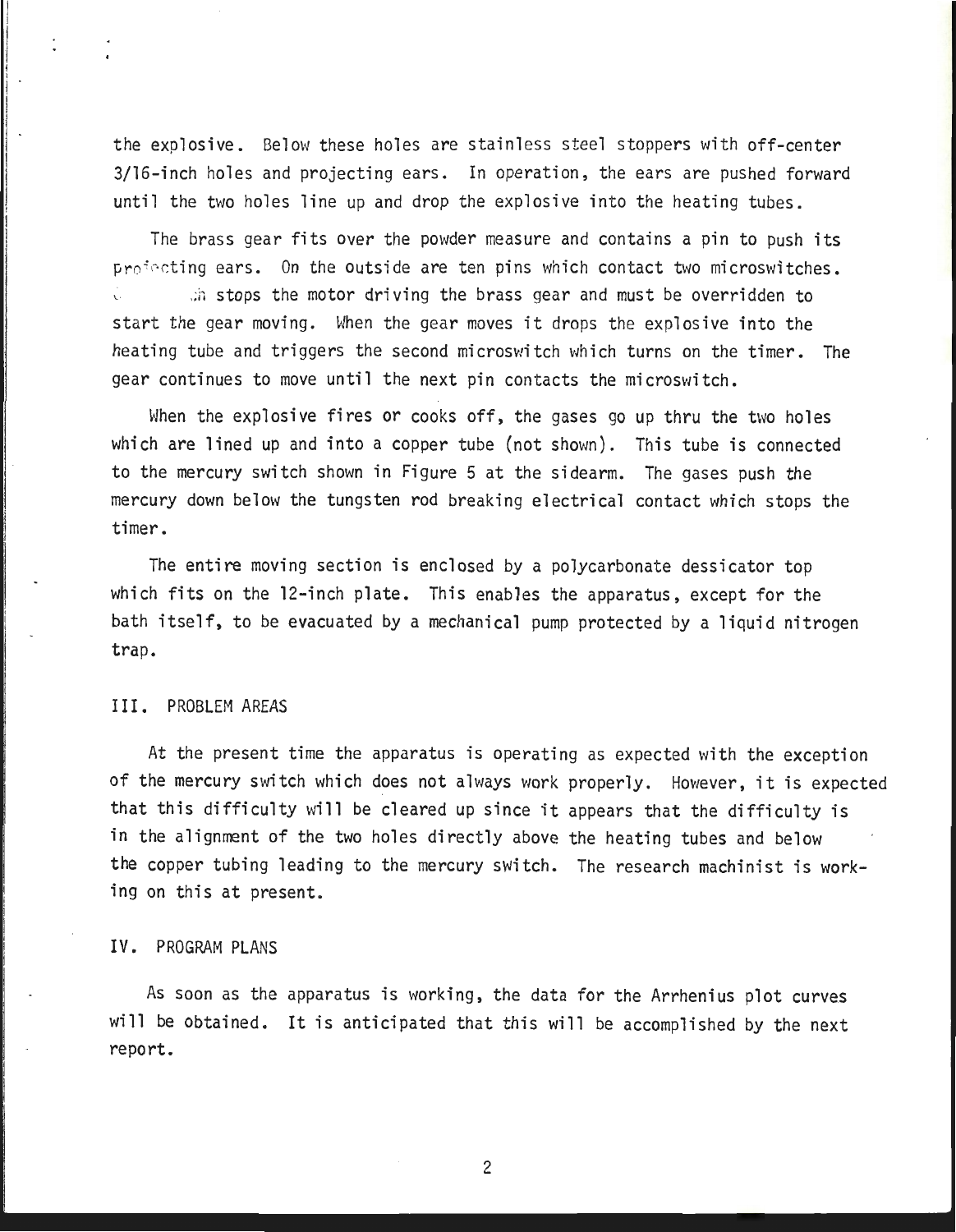the explosive. Below these holes are stainless steel stoppers with off-center 3/16-inch holes and projecting ears. In operation, the ears are pushed forward until the two holes line up and drop the explosive into the heating tubes.

The brass gear fits over the powder measure and contains a pin to push its projecting ears. On the outside are ten pins which contact two microswitches.  $\therefore$  stops the motor driving the brass gear and must be overridden to start the gear moving. When the gear moves it drops the explosive into the heating tube and triggers the second microswitch which turns on the timer. The gear continues to move until the next pin contacts the microswitch.

When the explosive fires or cooks off, the gases go up thru the two holes which are lined up and into a copper tube (not shown). This tube is connected to the mercury switch shown in Figure 5 at the sidearm. The gases push the mercury down below the tungsten rod breaking electrical contact which stops the timer.

The entire moving section is enclosed by a polycarbonate dessicator top which fits on the 12-inch plate. This enables the apparatus, except for the bath itself, to be evacuated by a mechanical pump protected by a liquid nitrogen trap.

#### III. PROBLEM AREAS

At the present time the apparatus is operating as expected with the exception of the mercury switch which does not always work properly. However, it is expected that this difficulty will be cleared up since it appears that the difficulty is in the alignment of the two holes directly above the heating tubes and below the copper tubing leading to the mercury switch. The research machinist is working on this at present.

#### IV. PROGRAM PLANS

As soon as the apparatus is working, the data for the Arrhenius plot curves will be obtained. It is anticipated that this will be accomplished by the next report.

2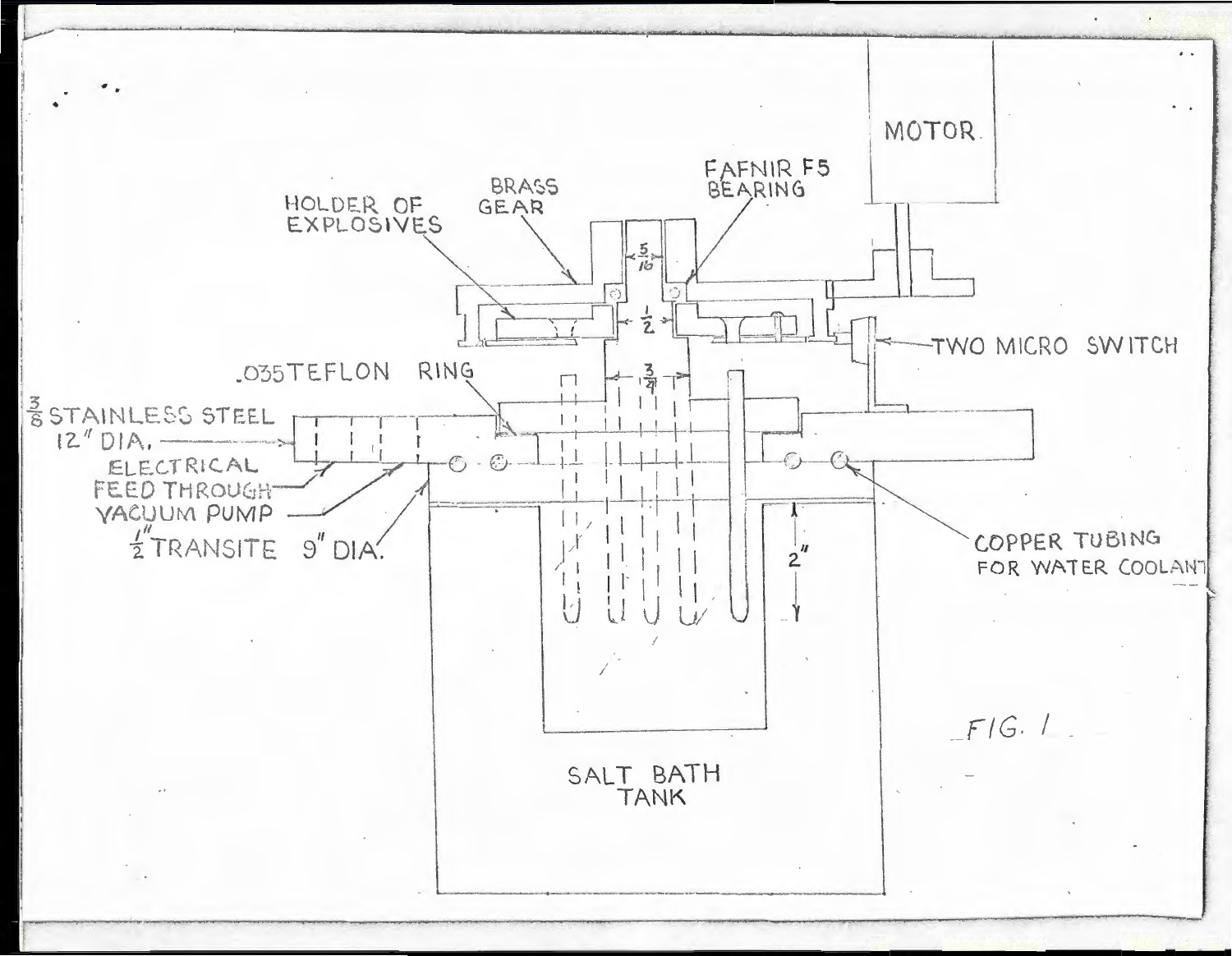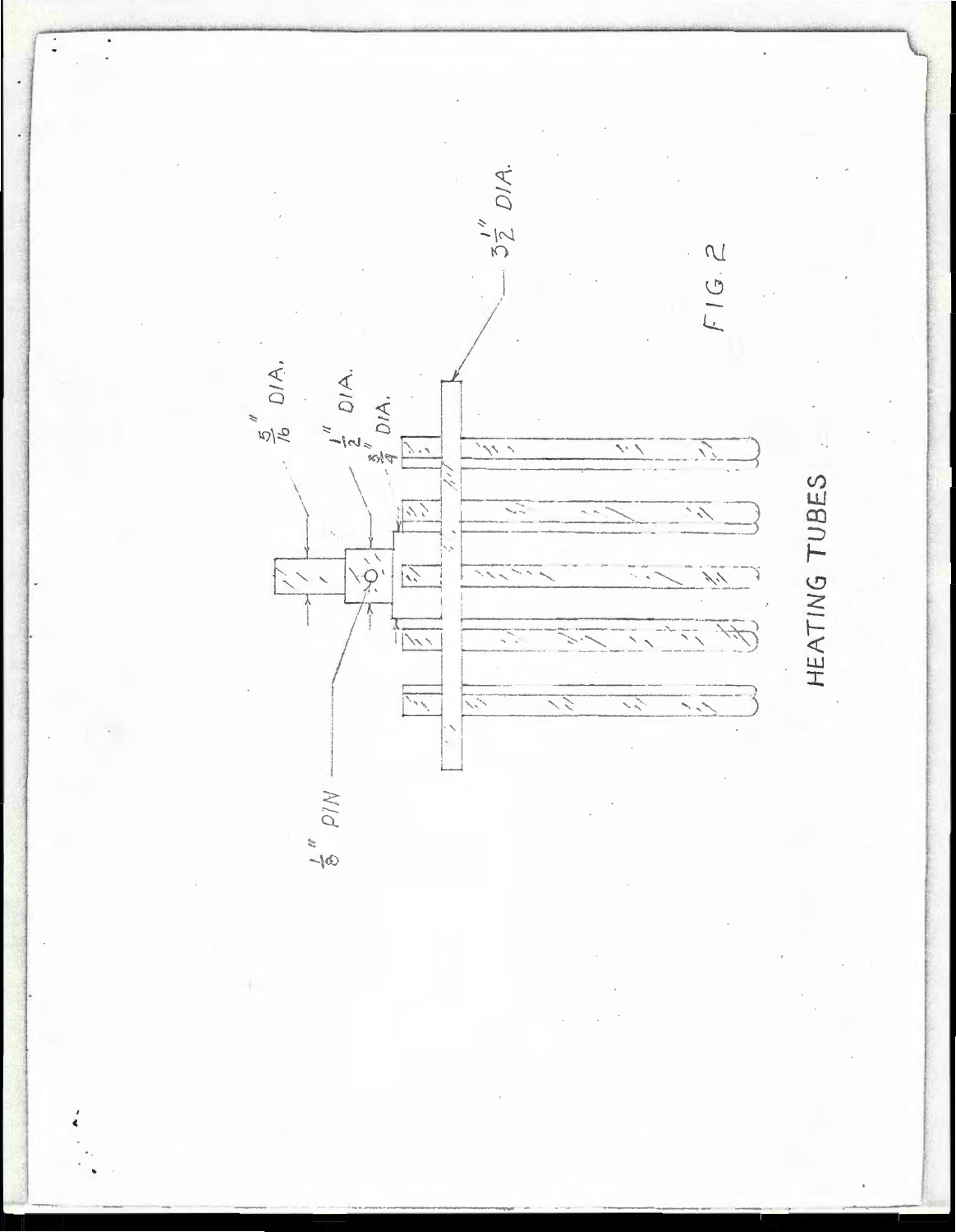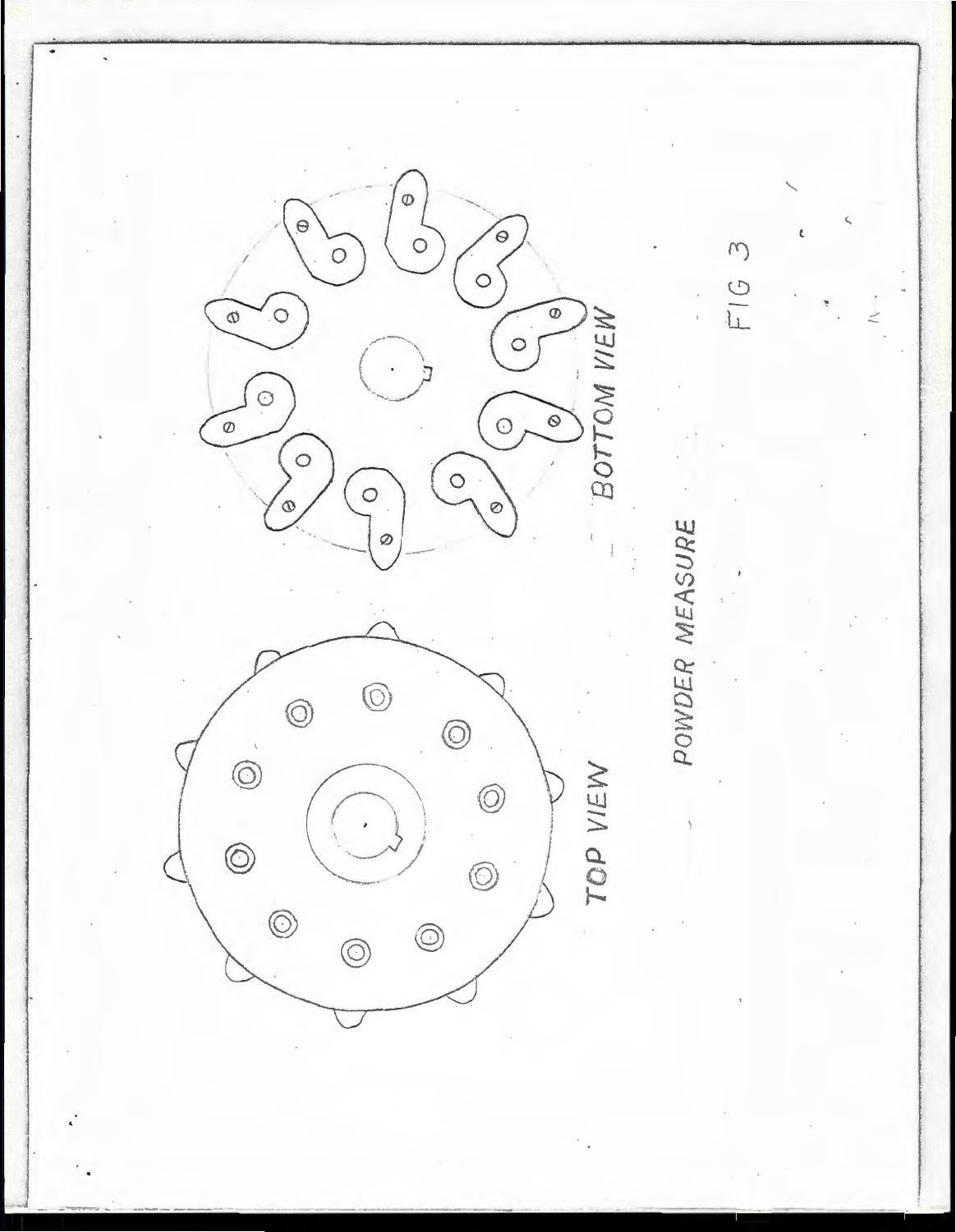$\circ$  $\epsilon$  $\Theta$ C  $FTG$  3  $\overline{O}$  $\circ$  $\overline{O}$  $\overline{\circ}$ BOTTOM VIEW  $\omega$  $\circ$  $\odot$  $\circ$  $\delta$  $\circ$  $\circ$  $\circ$  $\circ$  $\circ$ Ø POWDER MEASURE  $\varnothing$  $\circledcirc$  $\circledcirc$  $\circledcirc$  $\odot$ TOP VIEW  $\circledcirc$  $\circledcirc$  $\circ$  $\circledcirc$  $\circledcirc$  $\circledcirc$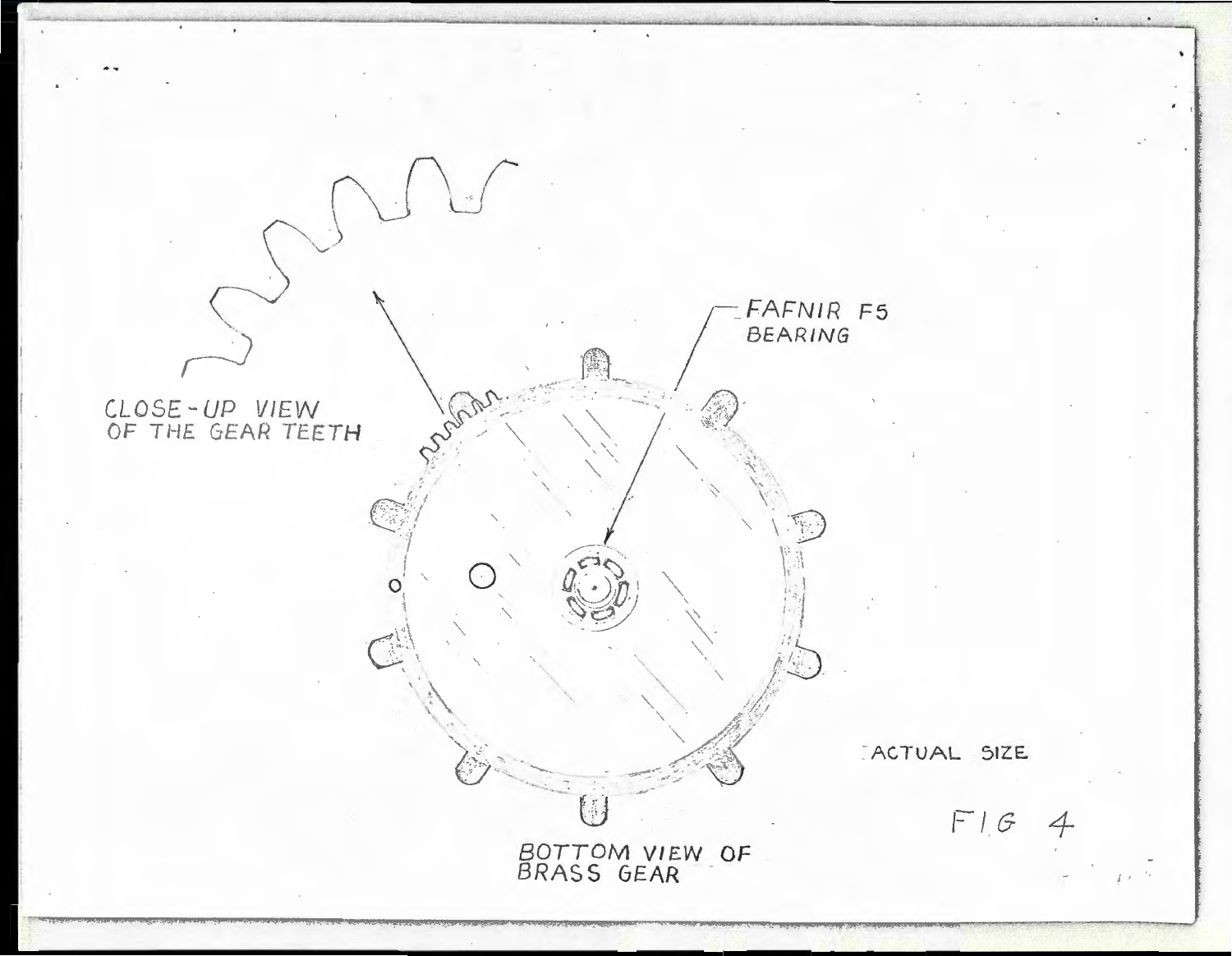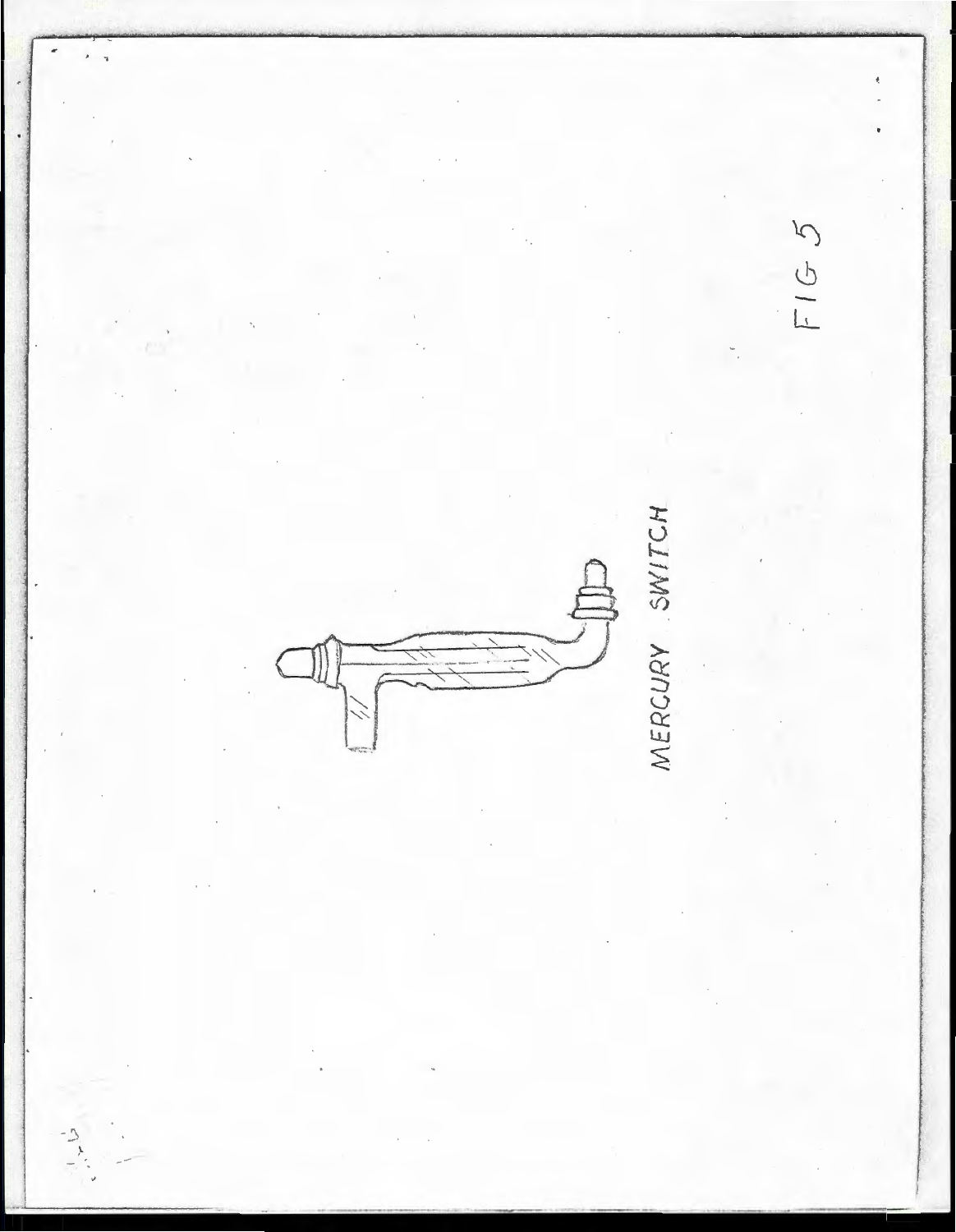$\overline{a}$  $\overline{\phantom{a}}$  $FIGS$ MERCURY SWITCH